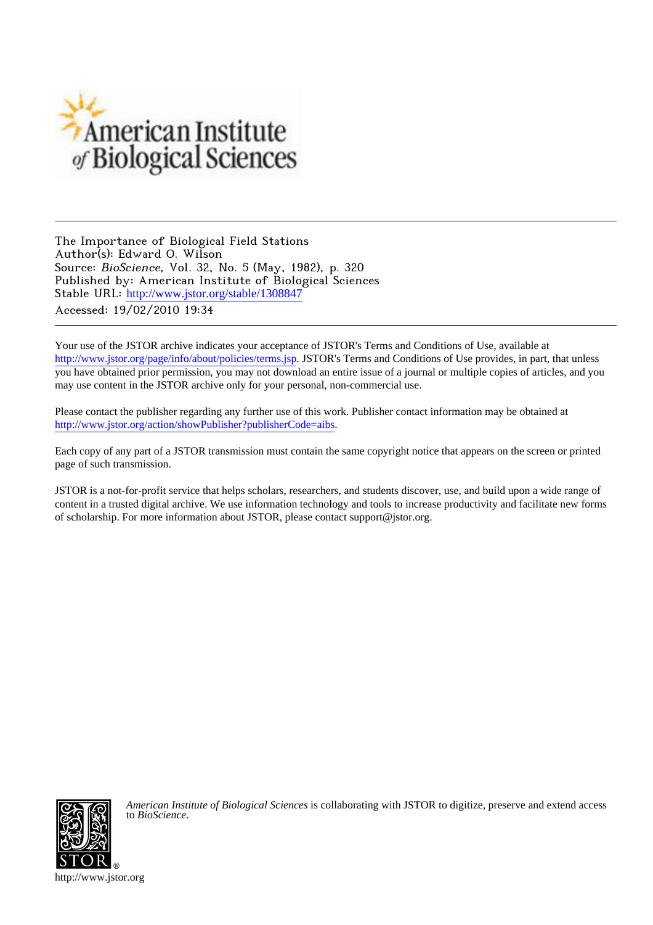

The Importance of Biological Field Stations Author(s): Edward O. Wilson Source: BioScience, Vol. 32, No. 5 (May, 1982), p. 320 Published by: American Institute of Biological Sciences Stable URL: [http://www.jstor.org/stable/1308847](http://www.jstor.org/stable/1308847?origin=JSTOR-pdf) Accessed: 19/02/2010 19:34

Your use of the JSTOR archive indicates your acceptance of JSTOR's Terms and Conditions of Use, available at <http://www.jstor.org/page/info/about/policies/terms.jsp>. JSTOR's Terms and Conditions of Use provides, in part, that unless you have obtained prior permission, you may not download an entire issue of a journal or multiple copies of articles, and you may use content in the JSTOR archive only for your personal, non-commercial use.

Please contact the publisher regarding any further use of this work. Publisher contact information may be obtained at <http://www.jstor.org/action/showPublisher?publisherCode=aibs>.

Each copy of any part of a JSTOR transmission must contain the same copyright notice that appears on the screen or printed page of such transmission.

JSTOR is a not-for-profit service that helps scholars, researchers, and students discover, use, and build upon a wide range of content in a trusted digital archive. We use information technology and tools to increase productivity and facilitate new forms of scholarship. For more information about JSTOR, please contact support@jstor.org.



*American Institute of Biological Sciences* is collaborating with JSTOR to digitize, preserve and extend access to *BioScience.*